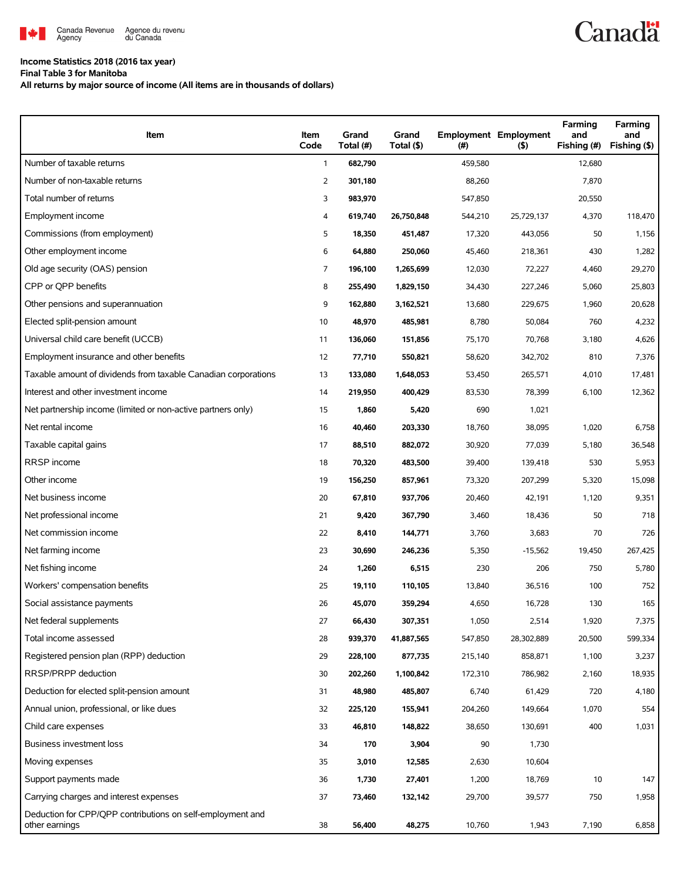

## **Income Statistics 2018 (2016 tax year)**

**Final Table 3 for Manitoba**

**All returns by major source of income (All items are in thousands of dollars)**

| Item                                                                         | Item<br>Code   | Grand<br>Total (#) | Grand<br>Total (\$) | (#)     | <b>Employment Employment</b><br>(5) | Farming<br>and<br>Fishing (#) | Farming<br>and<br>Fishing (\$) |
|------------------------------------------------------------------------------|----------------|--------------------|---------------------|---------|-------------------------------------|-------------------------------|--------------------------------|
| Number of taxable returns                                                    | $\mathbf{1}$   | 682,790            |                     | 459,580 |                                     | 12,680                        |                                |
| Number of non-taxable returns                                                | $\overline{2}$ | 301,180            |                     | 88,260  |                                     | 7,870                         |                                |
| Total number of returns                                                      | 3              | 983,970            |                     | 547,850 |                                     | 20,550                        |                                |
| Employment income                                                            | 4              | 619,740            | 26,750,848          | 544,210 | 25,729,137                          | 4,370                         | 118,470                        |
| Commissions (from employment)                                                | 5              | 18,350             | 451,487             | 17,320  | 443,056                             | 50                            | 1,156                          |
| Other employment income                                                      | 6              | 64,880             | 250,060             | 45,460  | 218,361                             | 430                           | 1,282                          |
| Old age security (OAS) pension                                               | $\overline{7}$ | 196,100            | 1,265,699           | 12,030  | 72,227                              | 4,460                         | 29,270                         |
| CPP or OPP benefits                                                          | 8              | 255,490            | 1,829,150           | 34,430  | 227,246                             | 5,060                         | 25,803                         |
| Other pensions and superannuation                                            | 9              | 162,880            | 3,162,521           | 13,680  | 229,675                             | 1,960                         | 20,628                         |
| Elected split-pension amount                                                 | 10             | 48,970             | 485,981             | 8,780   | 50,084                              | 760                           | 4,232                          |
| Universal child care benefit (UCCB)                                          | 11             | 136,060            | 151,856             | 75,170  | 70,768                              | 3,180                         | 4,626                          |
| Employment insurance and other benefits                                      | 12             | 77,710             | 550,821             | 58,620  | 342,702                             | 810                           | 7,376                          |
| Taxable amount of dividends from taxable Canadian corporations               | 13             | 133,080            | 1,648,053           | 53,450  | 265,571                             | 4,010                         | 17,481                         |
| Interest and other investment income                                         | 14             | 219,950            | 400,429             | 83,530  | 78,399                              | 6,100                         | 12,362                         |
| Net partnership income (limited or non-active partners only)                 | 15             | 1,860              | 5,420               | 690     | 1,021                               |                               |                                |
| Net rental income                                                            | 16             | 40,460             | 203,330             | 18.760  | 38,095                              | 1,020                         | 6,758                          |
| Taxable capital gains                                                        | 17             | 88,510             | 882,072             | 30,920  | 77,039                              | 5,180                         | 36,548                         |
| RRSP income                                                                  | 18             | 70,320             | 483,500             | 39,400  | 139,418                             | 530                           | 5,953                          |
| Other income                                                                 | 19             | 156,250            | 857,961             | 73,320  | 207,299                             | 5,320                         | 15,098                         |
| Net business income                                                          | 20             | 67,810             | 937,706             | 20,460  | 42,191                              | 1,120                         | 9,351                          |
| Net professional income                                                      | 21             | 9,420              | 367,790             | 3,460   | 18,436                              | 50                            | 718                            |
| Net commission income                                                        | 22             | 8,410              | 144,771             | 3,760   | 3,683                               | 70                            | 726                            |
| Net farming income                                                           | 23             | 30,690             | 246,236             | 5,350   | $-15,562$                           | 19,450                        | 267,425                        |
| Net fishing income                                                           | 24             | 1,260              | 6,515               | 230     | 206                                 | 750                           | 5,780                          |
| Workers' compensation benefits                                               | 25             | 19,110             | 110,105             | 13,840  | 36,516                              | 100                           | 752                            |
| Social assistance payments                                                   | 26             | 45,070             | 359,294             | 4,650   | 16,728                              | 130                           | 165                            |
| Net federal supplements                                                      | 27             | 66,430             | 307,351             | 1,050   | 2,514                               | 1,920                         | 7,375                          |
| Total income assessed                                                        | 28             | 939,370            | 41,887,565          | 547,850 | 28,302,889                          | 20,500                        | 599,334                        |
| Registered pension plan (RPP) deduction                                      | 29             | 228,100            | 877,735             | 215,140 | 858,871                             | 1,100                         | 3,237                          |
| RRSP/PRPP deduction                                                          | 30             | 202,260            | 1,100,842           | 172,310 | 786,982                             | 2,160                         | 18,935                         |
| Deduction for elected split-pension amount                                   | 31             | 48,980             | 485,807             | 6,740   | 61,429                              | 720                           | 4,180                          |
| Annual union, professional, or like dues                                     | 32             | 225,120            | 155,941             | 204,260 | 149,664                             | 1,070                         | 554                            |
| Child care expenses                                                          | 33             | 46,810             | 148,822             | 38,650  | 130,691                             | 400                           | 1,031                          |
| <b>Business investment loss</b>                                              | 34             | 170                | 3,904               | 90      | 1,730                               |                               |                                |
| Moving expenses                                                              | 35             | 3,010              | 12,585              | 2,630   | 10,604                              |                               |                                |
| Support payments made                                                        | 36             | 1,730              | 27,401              | 1,200   | 18,769                              | 10                            | 147                            |
| Carrying charges and interest expenses                                       | 37             | 73,460             | 132,142             | 29,700  | 39,577                              | 750                           | 1,958                          |
| Deduction for CPP/QPP contributions on self-employment and<br>other earnings | 38             | 56,400             | 48,275              | 10,760  | 1,943                               | 7,190                         | 6,858                          |

**Canadä**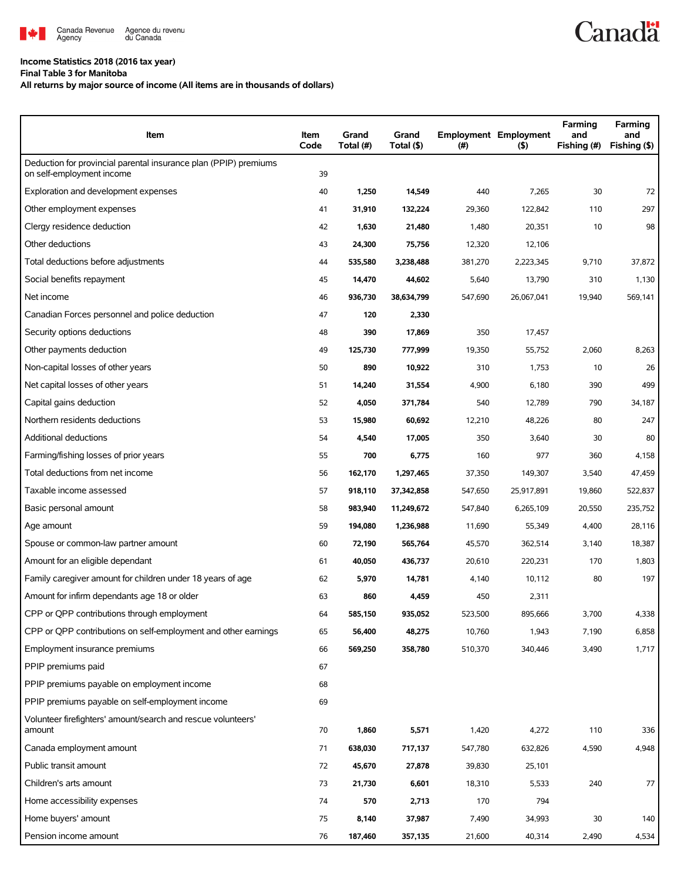

## **Income Statistics 2018 (2016 tax year)**

**Final Table 3 for Manitoba**

**All returns by major source of income (All items are in thousands of dollars)**

| Item                                                                                          | Item<br>Code | Grand<br>Total (#) | Grand<br>Total (\$) | $(\#)$  | <b>Employment Employment</b><br>$($ \$) | Farming<br>and<br>Fishing (#) | Farming<br>and<br>Fishing (\$) |
|-----------------------------------------------------------------------------------------------|--------------|--------------------|---------------------|---------|-----------------------------------------|-------------------------------|--------------------------------|
| Deduction for provincial parental insurance plan (PPIP) premiums<br>on self-employment income | 39           |                    |                     |         |                                         |                               |                                |
| Exploration and development expenses                                                          | 40           | 1,250              | 14,549              | 440     | 7,265                                   | 30                            | 72                             |
| Other employment expenses                                                                     | 41           | 31,910             | 132,224             | 29,360  | 122,842                                 | 110                           | 297                            |
| Clergy residence deduction                                                                    | 42           | 1,630              | 21,480              | 1,480   | 20,351                                  | 10                            | 98                             |
| Other deductions                                                                              | 43           | 24,300             | 75,756              | 12,320  | 12,106                                  |                               |                                |
| Total deductions before adjustments                                                           | 44           | 535,580            | 3,238,488           | 381,270 | 2,223,345                               | 9,710                         | 37,872                         |
| Social benefits repayment                                                                     | 45           | 14,470             | 44,602              | 5,640   | 13,790                                  | 310                           | 1,130                          |
| Net income                                                                                    | 46           | 936,730            | 38,634,799          | 547,690 | 26,067,041                              | 19,940                        | 569,141                        |
| Canadian Forces personnel and police deduction                                                | 47           | 120                | 2,330               |         |                                         |                               |                                |
| Security options deductions                                                                   | 48           | 390                | 17,869              | 350     | 17,457                                  |                               |                                |
| Other payments deduction                                                                      | 49           | 125,730            | 777,999             | 19,350  | 55,752                                  | 2,060                         | 8,263                          |
| Non-capital losses of other years                                                             | 50           | 890                | 10,922              | 310     | 1,753                                   | 10                            | 26                             |
| Net capital losses of other years                                                             | 51           | 14,240             | 31,554              | 4,900   | 6,180                                   | 390                           | 499                            |
| Capital gains deduction                                                                       | 52           | 4,050              | 371,784             | 540     | 12,789                                  | 790                           | 34,187                         |
| Northern residents deductions                                                                 | 53           | 15,980             | 60,692              | 12,210  | 48,226                                  | 80                            | 247                            |
| Additional deductions                                                                         | 54           | 4,540              | 17,005              | 350     | 3,640                                   | 30                            | 80                             |
| Farming/fishing losses of prior years                                                         | 55           | 700                | 6,775               | 160     | 977                                     | 360                           | 4,158                          |
| Total deductions from net income                                                              | 56           | 162,170            | 1,297,465           | 37,350  | 149,307                                 | 3,540                         | 47,459                         |
| Taxable income assessed                                                                       | 57           | 918,110            | 37,342,858          | 547,650 | 25,917,891                              | 19,860                        | 522,837                        |
| Basic personal amount                                                                         | 58           | 983,940            | 11,249,672          | 547,840 | 6,265,109                               | 20,550                        | 235,752                        |
| Age amount                                                                                    | 59           | 194,080            | 1,236,988           | 11,690  | 55,349                                  | 4,400                         | 28,116                         |
| Spouse or common-law partner amount                                                           | 60           | 72,190             | 565,764             | 45,570  | 362,514                                 | 3,140                         | 18,387                         |
| Amount for an eligible dependant                                                              | 61           | 40,050             | 436,737             | 20,610  | 220,231                                 | 170                           | 1,803                          |
| Family caregiver amount for children under 18 years of age                                    | 62           | 5,970              | 14,781              | 4,140   | 10,112                                  | 80                            | 197                            |
| Amount for infirm dependants age 18 or older                                                  | 63           | 860                | 4,459               | 450     | 2,311                                   |                               |                                |
| CPP or QPP contributions through employment                                                   | 64           | 585,150            | 935,052             | 523,500 | 895,666                                 | 3,700                         | 4,338                          |
| CPP or QPP contributions on self-employment and other earnings                                | 65           | 56,400             | 48,275              | 10,760  | 1,943                                   | 7,190                         | 6,858                          |
| Employment insurance premiums                                                                 | 66           | 569,250            | 358,780             | 510,370 | 340,446                                 | 3,490                         | 1,717                          |
| PPIP premiums paid                                                                            | 67           |                    |                     |         |                                         |                               |                                |
| PPIP premiums payable on employment income                                                    | 68           |                    |                     |         |                                         |                               |                                |
| PPIP premiums payable on self-employment income                                               | 69           |                    |                     |         |                                         |                               |                                |
| Volunteer firefighters' amount/search and rescue volunteers'<br>amount                        | 70           | 1,860              | 5,571               | 1,420   | 4,272                                   | 110                           | 336                            |
| Canada employment amount                                                                      | 71           | 638,030            | 717,137             | 547,780 | 632,826                                 | 4,590                         | 4,948                          |
| Public transit amount                                                                         | 72           | 45,670             | 27,878              | 39,830  | 25,101                                  |                               |                                |
| Children's arts amount                                                                        | 73           | 21,730             | 6,601               | 18,310  | 5,533                                   | 240                           | 77                             |
| Home accessibility expenses                                                                   | 74           | 570                | 2,713               | 170     | 794                                     |                               |                                |
| Home buyers' amount                                                                           | 75           | 8,140              | 37,987              | 7,490   | 34,993                                  | 30                            | 140                            |
| Pension income amount                                                                         | 76           | 187,460            | 357,135             | 21,600  | 40,314                                  | 2,490                         | 4,534                          |

**Canadä**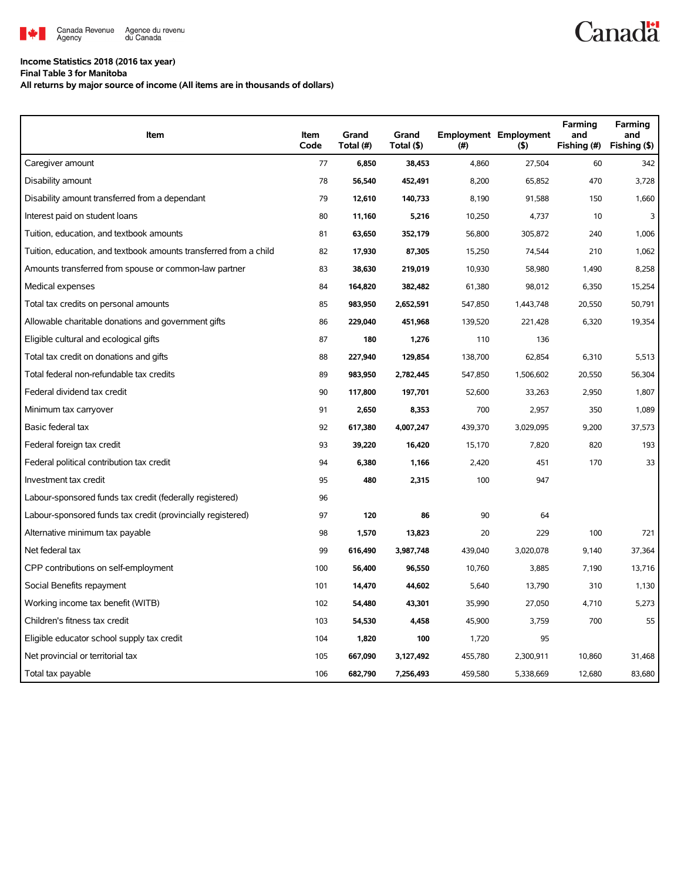

## **Income Statistics 2018 (2016 tax year)**

**Final Table 3 for Manitoba**

**All returns by major source of income (All items are in thousands of dollars)**

| Item                                                              | Item<br>Code | Grand<br>Total (#) | Grand<br>Total (\$) | (#)     | <b>Employment Employment</b><br>(5) | Farming<br>and<br>Fishing (#) | Farming<br>and<br>Fishing (\$) |
|-------------------------------------------------------------------|--------------|--------------------|---------------------|---------|-------------------------------------|-------------------------------|--------------------------------|
| Caregiver amount                                                  | 77           | 6,850              | 38,453              | 4,860   | 27,504                              | 60                            | 342                            |
| Disability amount                                                 | 78           | 56,540             | 452,491             | 8,200   | 65,852                              | 470                           | 3,728                          |
| Disability amount transferred from a dependant                    | 79           | 12,610             | 140,733             | 8,190   | 91,588                              | 150                           | 1,660                          |
| Interest paid on student loans                                    | 80           | 11,160             | 5,216               | 10,250  | 4,737                               | 10                            | 3                              |
| Tuition, education, and textbook amounts                          | 81           | 63,650             | 352,179             | 56,800  | 305,872                             | 240                           | 1,006                          |
| Tuition, education, and textbook amounts transferred from a child | 82           | 17,930             | 87,305              | 15,250  | 74,544                              | 210                           | 1,062                          |
| Amounts transferred from spouse or common-law partner             | 83           | 38,630             | 219,019             | 10,930  | 58,980                              | 1,490                         | 8,258                          |
| Medical expenses                                                  | 84           | 164,820            | 382,482             | 61,380  | 98,012                              | 6,350                         | 15,254                         |
| Total tax credits on personal amounts                             | 85           | 983,950            | 2,652,591           | 547,850 | 1,443,748                           | 20,550                        | 50,791                         |
| Allowable charitable donations and government gifts               | 86           | 229,040            | 451,968             | 139,520 | 221,428                             | 6,320                         | 19,354                         |
| Eligible cultural and ecological gifts                            | 87           | 180                | 1,276               | 110     | 136                                 |                               |                                |
| Total tax credit on donations and gifts                           | 88           | 227,940            | 129,854             | 138,700 | 62,854                              | 6,310                         | 5,513                          |
| Total federal non-refundable tax credits                          | 89           | 983,950            | 2,782,445           | 547,850 | 1,506,602                           | 20,550                        | 56,304                         |
| Federal dividend tax credit                                       | 90           | 117,800            | 197,701             | 52,600  | 33,263                              | 2,950                         | 1,807                          |
| Minimum tax carryover                                             | 91           | 2,650              | 8,353               | 700     | 2,957                               | 350                           | 1,089                          |
| Basic federal tax                                                 | 92           | 617,380            | 4,007,247           | 439,370 | 3,029,095                           | 9,200                         | 37,573                         |
| Federal foreign tax credit                                        | 93           | 39,220             | 16,420              | 15,170  | 7,820                               | 820                           | 193                            |
| Federal political contribution tax credit                         | 94           | 6,380              | 1,166               | 2,420   | 451                                 | 170                           | 33                             |
| Investment tax credit                                             | 95           | 480                | 2,315               | 100     | 947                                 |                               |                                |
| Labour-sponsored funds tax credit (federally registered)          | 96           |                    |                     |         |                                     |                               |                                |
| Labour-sponsored funds tax credit (provincially registered)       | 97           | 120                | 86                  | 90      | 64                                  |                               |                                |
| Alternative minimum tax payable                                   | 98           | 1,570              | 13,823              | 20      | 229                                 | 100                           | 721                            |
| Net federal tax                                                   | 99           | 616,490            | 3,987,748           | 439,040 | 3,020,078                           | 9,140                         | 37,364                         |
| CPP contributions on self-employment                              | 100          | 56,400             | 96,550              | 10,760  | 3,885                               | 7,190                         | 13,716                         |
| Social Benefits repayment                                         | 101          | 14,470             | 44,602              | 5,640   | 13,790                              | 310                           | 1,130                          |
| Working income tax benefit (WITB)                                 | 102          | 54,480             | 43,301              | 35,990  | 27,050                              | 4,710                         | 5,273                          |
| Children's fitness tax credit                                     | 103          | 54,530             | 4,458               | 45,900  | 3,759                               | 700                           | 55                             |
| Eligible educator school supply tax credit                        | 104          | 1,820              | 100                 | 1,720   | 95                                  |                               |                                |
| Net provincial or territorial tax                                 | 105          | 667,090            | 3,127,492           | 455,780 | 2,300,911                           | 10,860                        | 31,468                         |
| Total tax payable                                                 | 106          | 682,790            | 7,256,493           | 459,580 | 5,338,669                           | 12.680                        | 83,680                         |

## **Canadä**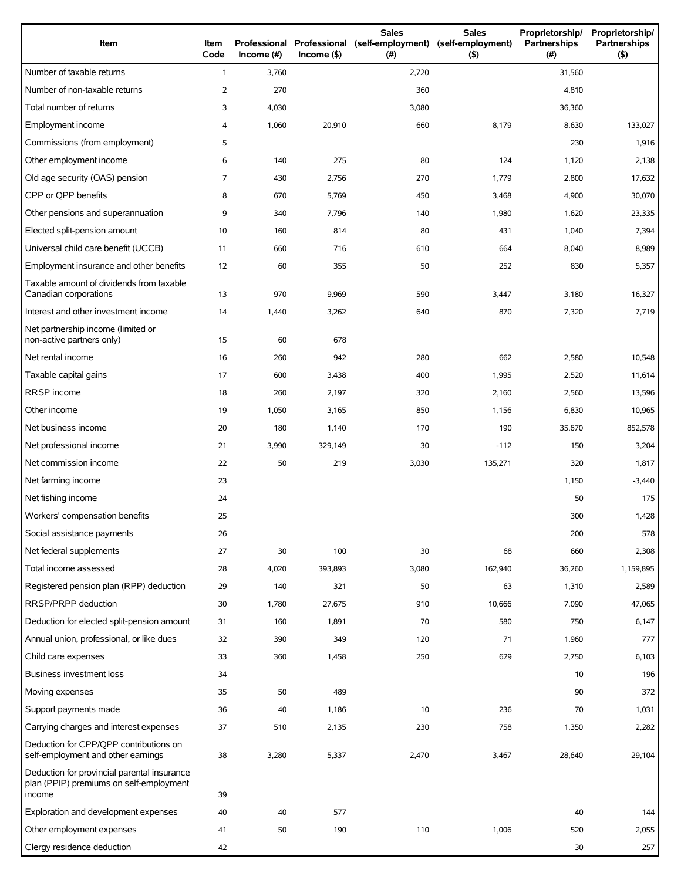| Item                                                                                             | Item<br>Code   | Income (#) | $Income($ \$) | <b>Sales</b><br>Professional Professional (self-employment)<br>(# ) | <b>Sales</b><br>(self-employment)<br>(5) | Proprietorship/<br>Partnerships<br>(#) | Proprietorship/<br>Partnerships<br>(5) |
|--------------------------------------------------------------------------------------------------|----------------|------------|---------------|---------------------------------------------------------------------|------------------------------------------|----------------------------------------|----------------------------------------|
| Number of taxable returns                                                                        | $\mathbf{1}$   | 3,760      |               | 2,720                                                               |                                          | 31,560                                 |                                        |
| Number of non-taxable returns                                                                    | $\overline{2}$ | 270        |               | 360                                                                 |                                          | 4,810                                  |                                        |
| Total number of returns                                                                          | 3              | 4,030      |               | 3,080                                                               |                                          | 36,360                                 |                                        |
| Employment income                                                                                | 4              | 1,060      | 20,910        | 660                                                                 | 8,179                                    | 8,630                                  | 133,027                                |
| Commissions (from employment)                                                                    | 5              |            |               |                                                                     |                                          | 230                                    | 1,916                                  |
| Other employment income                                                                          | 6              | 140        | 275           | 80                                                                  | 124                                      | 1,120                                  | 2,138                                  |
| Old age security (OAS) pension                                                                   | 7              | 430        | 2,756         | 270                                                                 | 1,779                                    | 2,800                                  | 17,632                                 |
| CPP or QPP benefits                                                                              | 8              | 670        | 5,769         | 450                                                                 | 3,468                                    | 4,900                                  | 30,070                                 |
| Other pensions and superannuation                                                                | 9              | 340        | 7,796         | 140                                                                 | 1,980                                    | 1,620                                  | 23,335                                 |
| Elected split-pension amount                                                                     | 10             | 160        | 814           | 80                                                                  | 431                                      | 1,040                                  | 7,394                                  |
| Universal child care benefit (UCCB)                                                              | 11             | 660        | 716           | 610                                                                 | 664                                      | 8,040                                  | 8,989                                  |
| Employment insurance and other benefits                                                          | 12             | 60         | 355           | 50                                                                  | 252                                      | 830                                    | 5,357                                  |
| Taxable amount of dividends from taxable<br>Canadian corporations                                | 13             | 970        | 9,969         | 590                                                                 | 3,447                                    | 3,180                                  | 16,327                                 |
| Interest and other investment income                                                             | 14             | 1,440      | 3,262         | 640                                                                 | 870                                      | 7,320                                  | 7,719                                  |
| Net partnership income (limited or<br>non-active partners only)                                  | 15             | 60         | 678           |                                                                     |                                          |                                        |                                        |
| Net rental income                                                                                | 16             | 260        | 942           | 280                                                                 | 662                                      | 2,580                                  | 10,548                                 |
| Taxable capital gains                                                                            | 17             | 600        | 3,438         | 400                                                                 | 1,995                                    | 2,520                                  | 11,614                                 |
| RRSP income                                                                                      | 18             | 260        | 2,197         | 320                                                                 | 2,160                                    | 2,560                                  | 13,596                                 |
| Other income                                                                                     | 19             | 1,050      | 3,165         | 850                                                                 | 1,156                                    | 6,830                                  | 10,965                                 |
| Net business income                                                                              | 20             | 180        | 1,140         | 170                                                                 | 190                                      | 35,670                                 | 852,578                                |
| Net professional income                                                                          | 21             | 3,990      | 329,149       | 30                                                                  | $-112$                                   | 150                                    | 3,204                                  |
| Net commission income                                                                            | 22             | 50         | 219           | 3,030                                                               | 135,271                                  | 320                                    | 1,817                                  |
| Net farming income                                                                               | 23             |            |               |                                                                     |                                          | 1,150                                  | $-3,440$                               |
| Net fishing income                                                                               | 24             |            |               |                                                                     |                                          | 50                                     | 175                                    |
| Workers' compensation benefits                                                                   | 25             |            |               |                                                                     |                                          | 300                                    | 1,428                                  |
| Social assistance payments                                                                       | 26             |            |               |                                                                     |                                          | 200                                    | 578                                    |
| Net federal supplements                                                                          | 27             | 30         | 100           | 30                                                                  | 68                                       | 660                                    | 2,308                                  |
| Total income assessed                                                                            | 28             | 4,020      | 393,893       | 3,080                                                               | 162,940                                  | 36,260                                 | 1,159,895                              |
| Registered pension plan (RPP) deduction                                                          | 29             | 140        | 321           | 50                                                                  | 63                                       | 1,310                                  | 2,589                                  |
| RRSP/PRPP deduction                                                                              | 30             | 1,780      | 27,675        | 910                                                                 | 10,666                                   | 7,090                                  | 47,065                                 |
| Deduction for elected split-pension amount                                                       | 31             | 160        | 1,891         | 70                                                                  | 580                                      | 750                                    | 6,147                                  |
| Annual union, professional, or like dues                                                         | 32             | 390        | 349           | 120                                                                 | 71                                       | 1,960                                  | 777                                    |
| Child care expenses                                                                              | 33             | 360        | 1,458         | 250                                                                 | 629                                      | 2,750                                  | 6,103                                  |
| Business investment loss                                                                         | 34             |            |               |                                                                     |                                          | 10                                     | 196                                    |
| Moving expenses                                                                                  | 35             | 50         | 489           |                                                                     |                                          | 90                                     | 372                                    |
| Support payments made                                                                            | 36             | 40         | 1,186         | 10                                                                  | 236                                      | 70                                     | 1,031                                  |
| Carrying charges and interest expenses                                                           | 37             | 510        | 2,135         | 230                                                                 | 758                                      | 1,350                                  | 2,282                                  |
| Deduction for CPP/QPP contributions on<br>self-employment and other earnings                     | 38             | 3,280      | 5,337         | 2,470                                                               | 3,467                                    | 28,640                                 | 29,104                                 |
| Deduction for provincial parental insurance<br>plan (PPIP) premiums on self-employment<br>income | 39             |            |               |                                                                     |                                          |                                        |                                        |
| Exploration and development expenses                                                             | 40             | 40         | 577           |                                                                     |                                          | 40                                     | 144                                    |
| Other employment expenses                                                                        | 41             | 50         | 190           | 110                                                                 | 1,006                                    | 520                                    | 2,055                                  |
| Clergy residence deduction                                                                       | 42             |            |               |                                                                     |                                          | 30                                     | 257                                    |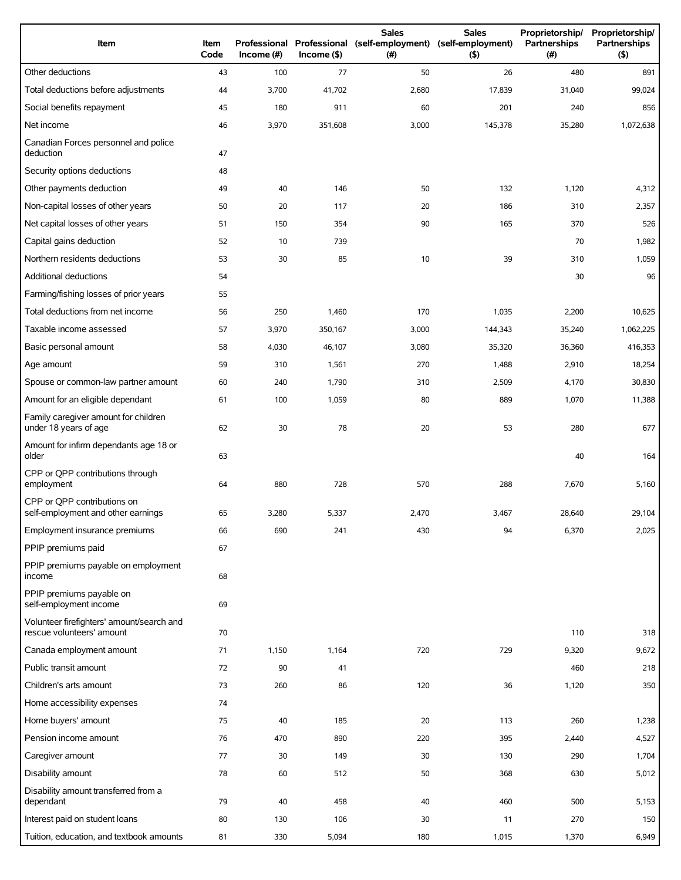| Item                                                                   | Item<br>Code | Income (#) | $Income($ \$) | <b>Sales</b><br>Professional Professional (self-employment) (self-employment)<br>(# ) | <b>Sales</b><br>(5) | Proprietorship/<br>Partnerships<br>(# ) | Proprietorship/<br>Partnerships<br>(5) |
|------------------------------------------------------------------------|--------------|------------|---------------|---------------------------------------------------------------------------------------|---------------------|-----------------------------------------|----------------------------------------|
| Other deductions                                                       | 43           | 100        | 77            | 50                                                                                    | 26                  | 480                                     | 891                                    |
| Total deductions before adjustments                                    | 44           | 3,700      | 41,702        | 2,680                                                                                 | 17,839              | 31,040                                  | 99,024                                 |
| Social benefits repayment                                              | 45           | 180        | 911           | 60                                                                                    | 201                 | 240                                     | 856                                    |
| Net income                                                             | 46           | 3,970      | 351,608       | 3,000                                                                                 | 145,378             | 35,280                                  | 1,072,638                              |
| Canadian Forces personnel and police<br>deduction                      | 47           |            |               |                                                                                       |                     |                                         |                                        |
| Security options deductions                                            | 48           |            |               |                                                                                       |                     |                                         |                                        |
| Other payments deduction                                               | 49           | 40         | 146           | 50                                                                                    | 132                 | 1,120                                   | 4,312                                  |
| Non-capital losses of other years                                      | 50           | 20         | 117           | 20                                                                                    | 186                 | 310                                     | 2,357                                  |
| Net capital losses of other years                                      | 51           | 150        | 354           | 90                                                                                    | 165                 | 370                                     | 526                                    |
| Capital gains deduction                                                | 52           | 10         | 739           |                                                                                       |                     | 70                                      | 1,982                                  |
| Northern residents deductions                                          | 53           | 30         | 85            | 10                                                                                    | 39                  | 310                                     | 1,059                                  |
| Additional deductions                                                  | 54           |            |               |                                                                                       |                     | 30                                      | 96                                     |
| Farming/fishing losses of prior years                                  | 55           |            |               |                                                                                       |                     |                                         |                                        |
| Total deductions from net income                                       | 56           | 250        | 1,460         | 170                                                                                   | 1,035               | 2,200                                   | 10,625                                 |
| Taxable income assessed                                                | 57           | 3,970      | 350,167       | 3,000                                                                                 | 144,343             | 35,240                                  | 1,062,225                              |
| Basic personal amount                                                  | 58           | 4,030      | 46,107        | 3,080                                                                                 | 35,320              | 36,360                                  | 416,353                                |
| Age amount                                                             | 59           | 310        | 1,561         | 270                                                                                   | 1,488               | 2,910                                   | 18,254                                 |
| Spouse or common-law partner amount                                    | 60           | 240        | 1,790         | 310                                                                                   | 2,509               | 4,170                                   | 30,830                                 |
| Amount for an eligible dependant                                       | 61           | 100        | 1,059         | 80                                                                                    | 889                 | 1,070                                   | 11,388                                 |
| Family caregiver amount for children<br>under 18 years of age          | 62           | 30         | 78            | 20                                                                                    | 53                  | 280                                     | 677                                    |
| Amount for infirm dependants age 18 or<br>older                        | 63           |            |               |                                                                                       |                     | 40                                      | 164                                    |
| CPP or QPP contributions through<br>employment                         | 64           | 880        | 728           | 570                                                                                   | 288                 | 7,670                                   | 5,160                                  |
| CPP or OPP contributions on<br>self-employment and other earnings      | 65           | 3,280      | 5,337         | 2,470                                                                                 | 3,467               | 28,640                                  | 29,104                                 |
| Employment insurance premiums                                          | 66           | 690        | 241           | 430                                                                                   | 94                  | 6,370                                   | 2,025                                  |
| PPIP premiums paid                                                     | 67           |            |               |                                                                                       |                     |                                         |                                        |
| PPIP premiums payable on employment<br>income                          | 68           |            |               |                                                                                       |                     |                                         |                                        |
| PPIP premiums payable on<br>self-employment income                     | 69           |            |               |                                                                                       |                     |                                         |                                        |
| Volunteer firefighters' amount/search and<br>rescue volunteers' amount | 70           |            |               |                                                                                       |                     | 110                                     | 318                                    |
| Canada employment amount                                               | 71           | 1,150      | 1,164         | 720                                                                                   | 729                 | 9,320                                   | 9,672                                  |
| Public transit amount                                                  | 72           | 90         | 41            |                                                                                       |                     | 460                                     | 218                                    |
| Children's arts amount                                                 | 73           | 260        | 86            | 120                                                                                   | 36                  | 1,120                                   | 350                                    |
| Home accessibility expenses                                            | 74           |            |               |                                                                                       |                     |                                         |                                        |
| Home buyers' amount                                                    | 75           | 40         | 185           | 20                                                                                    | 113                 | 260                                     | 1,238                                  |
| Pension income amount                                                  | 76           | 470        | 890           | 220                                                                                   | 395                 | 2,440                                   | 4,527                                  |
| Caregiver amount                                                       | 77           | 30         | 149           | 30                                                                                    | 130                 | 290                                     | 1,704                                  |
| Disability amount                                                      | 78           | 60         | 512           | 50                                                                                    | 368                 | 630                                     | 5,012                                  |
| Disability amount transferred from a<br>dependant                      | 79           | 40         | 458           | 40                                                                                    | 460                 | 500                                     | 5,153                                  |
| Interest paid on student loans                                         | 80           | 130        | 106           | 30                                                                                    | 11                  | 270                                     | 150                                    |
| Tuition, education, and textbook amounts                               | 81           | 330        | 5,094         | 180                                                                                   | 1,015               | 1,370                                   | 6,949                                  |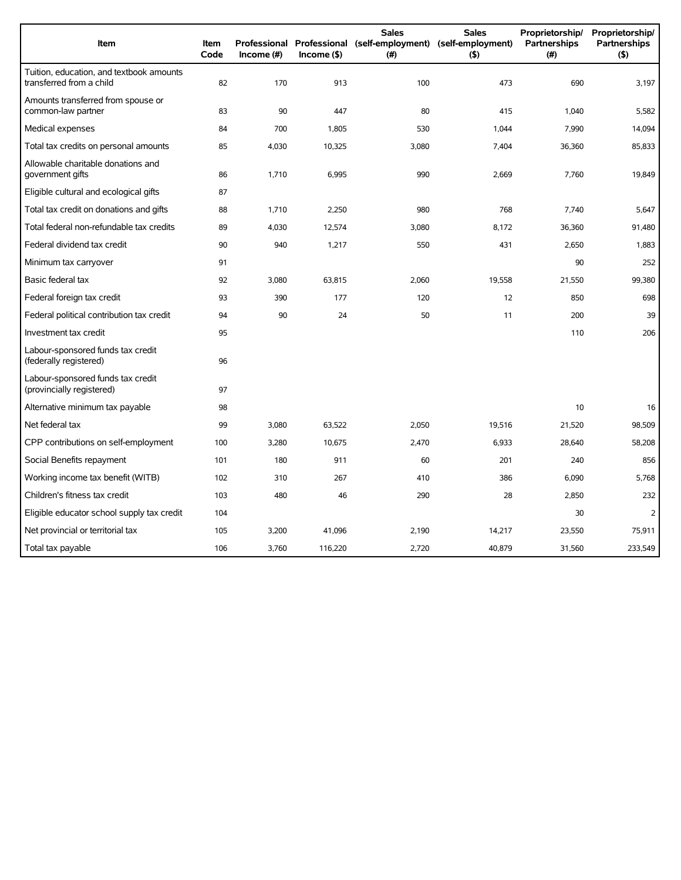| Item                                                                 | <b>Item</b><br>Code | Income $(\#)$ | $Income($ \$) | <b>Sales</b><br>Professional Professional (self-employment) (self-employment)<br>(#) | <b>Sales</b><br>$($ \$) | Proprietorship/<br>Partnerships<br>(#) | Proprietorship/<br><b>Partnerships</b><br>(5) |
|----------------------------------------------------------------------|---------------------|---------------|---------------|--------------------------------------------------------------------------------------|-------------------------|----------------------------------------|-----------------------------------------------|
| Tuition, education, and textbook amounts<br>transferred from a child | 82                  | 170           | 913           | 100                                                                                  | 473                     | 690                                    | 3,197                                         |
| Amounts transferred from spouse or<br>common-law partner             | 83                  | 90            | 447           | 80                                                                                   | 415                     | 1.040                                  | 5,582                                         |
| Medical expenses                                                     | 84                  | 700           | 1,805         | 530                                                                                  | 1,044                   | 7,990                                  | 14,094                                        |
| Total tax credits on personal amounts                                | 85                  | 4,030         | 10,325        | 3,080                                                                                | 7,404                   | 36,360                                 | 85,833                                        |
| Allowable charitable donations and<br>government gifts               | 86                  | 1,710         | 6,995         | 990                                                                                  | 2,669                   | 7,760                                  | 19,849                                        |
| Eligible cultural and ecological gifts                               | 87                  |               |               |                                                                                      |                         |                                        |                                               |
| Total tax credit on donations and gifts                              | 88                  | 1,710         | 2,250         | 980                                                                                  | 768                     | 7,740                                  | 5,647                                         |
| Total federal non-refundable tax credits                             | 89                  | 4,030         | 12,574        | 3,080                                                                                | 8,172                   | 36,360                                 | 91,480                                        |
| Federal dividend tax credit                                          | 90                  | 940           | 1,217         | 550                                                                                  | 431                     | 2,650                                  | 1,883                                         |
| Minimum tax carryover                                                | 91                  |               |               |                                                                                      |                         | 90                                     | 252                                           |
| Basic federal tax                                                    | 92                  | 3,080         | 63,815        | 2,060                                                                                | 19,558                  | 21,550                                 | 99,380                                        |
| Federal foreign tax credit                                           | 93                  | 390           | 177           | 120                                                                                  | 12                      | 850                                    | 698                                           |
| Federal political contribution tax credit                            | 94                  | 90            | 24            | 50                                                                                   | 11                      | 200                                    | 39                                            |
| Investment tax credit                                                | 95                  |               |               |                                                                                      |                         | 110                                    | 206                                           |
| Labour-sponsored funds tax credit<br>(federally registered)          | 96                  |               |               |                                                                                      |                         |                                        |                                               |
| Labour-sponsored funds tax credit<br>(provincially registered)       | 97                  |               |               |                                                                                      |                         |                                        |                                               |
| Alternative minimum tax payable                                      | 98                  |               |               |                                                                                      |                         | 10                                     | 16                                            |
| Net federal tax                                                      | 99                  | 3,080         | 63,522        | 2,050                                                                                | 19,516                  | 21,520                                 | 98,509                                        |
| CPP contributions on self-employment                                 | 100                 | 3,280         | 10,675        | 2,470                                                                                | 6,933                   | 28,640                                 | 58,208                                        |
| Social Benefits repayment                                            | 101                 | 180           | 911           | 60                                                                                   | 201                     | 240                                    | 856                                           |
| Working income tax benefit (WITB)                                    | 102                 | 310           | 267           | 410                                                                                  | 386                     | 6,090                                  | 5,768                                         |
| Children's fitness tax credit                                        | 103                 | 480           | 46            | 290                                                                                  | 28                      | 2,850                                  | 232                                           |
| Eligible educator school supply tax credit                           | 104                 |               |               |                                                                                      |                         | 30                                     | $\overline{2}$                                |
| Net provincial or territorial tax                                    | 105                 | 3,200         | 41,096        | 2,190                                                                                | 14,217                  | 23,550                                 | 75.911                                        |
| Total tax payable                                                    | 106                 | 3,760         | 116,220       | 2,720                                                                                | 40,879                  | 31,560                                 | 233,549                                       |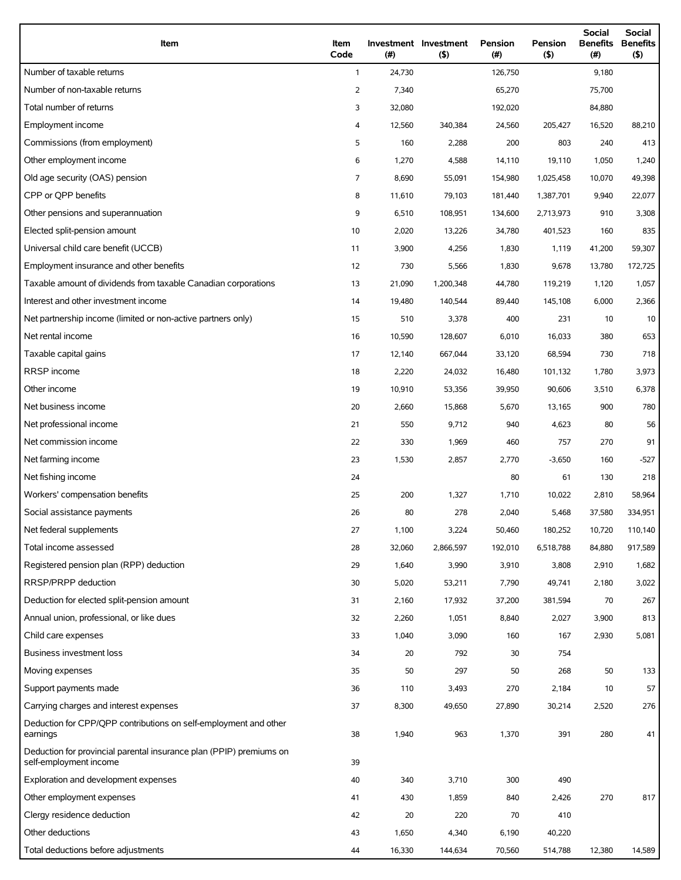| Item                                                                                          | Item<br>Code   | (# )   | Investment Investment<br>$($ \$) | Pension<br>(#) | <b>Pension</b><br>(5) | Social<br><b>Benefits</b><br>(#) | Social<br><b>Benefits</b><br>$($ \$) |
|-----------------------------------------------------------------------------------------------|----------------|--------|----------------------------------|----------------|-----------------------|----------------------------------|--------------------------------------|
| Number of taxable returns                                                                     | $\mathbf{1}$   | 24,730 |                                  | 126,750        |                       | 9,180                            |                                      |
| Number of non-taxable returns                                                                 | 2              | 7,340  |                                  | 65,270         |                       | 75,700                           |                                      |
| Total number of returns                                                                       | 3              | 32,080 |                                  | 192,020        |                       | 84,880                           |                                      |
| Employment income                                                                             | 4              | 12,560 | 340,384                          | 24,560         | 205,427               | 16,520                           | 88,210                               |
| Commissions (from employment)                                                                 | 5              | 160    | 2,288                            | 200            | 803                   | 240                              | 413                                  |
| Other employment income                                                                       | 6              | 1,270  | 4,588                            | 14,110         | 19,110                | 1,050                            | 1,240                                |
| Old age security (OAS) pension                                                                | $\overline{7}$ | 8,690  | 55,091                           | 154,980        | 1,025,458             | 10,070                           | 49,398                               |
| CPP or OPP benefits                                                                           | 8              | 11,610 | 79,103                           | 181,440        | 1,387,701             | 9,940                            | 22,077                               |
| Other pensions and superannuation                                                             | 9              | 6,510  | 108,951                          | 134,600        | 2,713,973             | 910                              | 3,308                                |
| Elected split-pension amount                                                                  | 10             | 2,020  | 13,226                           | 34,780         | 401,523               | 160                              | 835                                  |
| Universal child care benefit (UCCB)                                                           | 11             | 3,900  | 4,256                            | 1,830          | 1,119                 | 41,200                           | 59,307                               |
| Employment insurance and other benefits                                                       | 12             | 730    | 5,566                            | 1,830          | 9,678                 | 13,780                           | 172,725                              |
| Taxable amount of dividends from taxable Canadian corporations                                | 13             | 21,090 | 1,200,348                        | 44,780         | 119,219               | 1,120                            | 1,057                                |
| Interest and other investment income                                                          | 14             | 19,480 | 140,544                          | 89,440         | 145,108               | 6,000                            | 2,366                                |
| Net partnership income (limited or non-active partners only)                                  | 15             | 510    | 3,378                            | 400            | 231                   | 10                               | 10                                   |
| Net rental income                                                                             | 16             | 10,590 | 128,607                          | 6,010          | 16,033                | 380                              | 653                                  |
| Taxable capital gains                                                                         | 17             | 12,140 | 667,044                          | 33,120         | 68,594                | 730                              | 718                                  |
| RRSP income                                                                                   | 18             | 2,220  | 24,032                           | 16,480         | 101,132               | 1,780                            | 3,973                                |
| Other income                                                                                  | 19             | 10,910 | 53,356                           | 39,950         | 90,606                | 3,510                            | 6,378                                |
| Net business income                                                                           | 20             | 2,660  | 15,868                           | 5,670          | 13,165                | 900                              | 780                                  |
| Net professional income                                                                       | 21             | 550    | 9,712                            | 940            | 4,623                 | 80                               | 56                                   |
| Net commission income                                                                         | 22             | 330    | 1,969                            | 460            | 757                   | 270                              | 91                                   |
| Net farming income                                                                            | 23             | 1,530  | 2,857                            | 2,770          | $-3,650$              | 160                              | $-527$                               |
| Net fishing income                                                                            | 24             |        |                                  | 80             | 61                    | 130                              | 218                                  |
| Workers' compensation benefits                                                                | 25             | 200    | 1,327                            | 1,710          | 10,022                | 2,810                            | 58,964                               |
| Social assistance payments                                                                    | 26             | 80     | 278                              | 2,040          | 5,468                 | 37,580                           | 334,951                              |
| Net federal supplements                                                                       | 27             | 1,100  | 3,224                            | 50,460         | 180,252               | 10,720                           | 110,140                              |
| Total income assessed                                                                         | 28             | 32,060 | 2,866,597                        | 192,010        | 6,518,788             | 84,880                           | 917,589                              |
| Registered pension plan (RPP) deduction                                                       | 29             | 1,640  | 3,990                            | 3,910          | 3,808                 | 2,910                            | 1,682                                |
| RRSP/PRPP deduction                                                                           | 30             | 5,020  | 53,211                           | 7,790          | 49,741                | 2,180                            | 3,022                                |
| Deduction for elected split-pension amount                                                    | 31             | 2,160  | 17,932                           | 37,200         | 381,594               | 70                               | 267                                  |
| Annual union, professional, or like dues                                                      | 32             | 2,260  | 1,051                            | 8,840          | 2,027                 | 3,900                            | 813                                  |
| Child care expenses                                                                           | 33             | 1,040  | 3,090                            | 160            | 167                   | 2,930                            | 5,081                                |
| Business investment loss                                                                      | 34             | 20     | 792                              | 30             | 754                   |                                  |                                      |
| Moving expenses                                                                               | 35             | 50     | 297                              | 50             | 268                   | 50                               | 133                                  |
| Support payments made                                                                         | 36             | 110    | 3,493                            | 270            | 2,184                 | 10                               | 57                                   |
| Carrying charges and interest expenses                                                        | 37             | 8,300  | 49,650                           | 27,890         | 30,214                | 2,520                            | 276                                  |
| Deduction for CPP/QPP contributions on self-employment and other<br>earnings                  | 38             | 1,940  | 963                              | 1,370          | 391                   | 280                              | 41                                   |
| Deduction for provincial parental insurance plan (PPIP) premiums on<br>self-employment income | 39             |        |                                  |                |                       |                                  |                                      |
| Exploration and development expenses                                                          | 40             | 340    | 3,710                            | 300            | 490                   |                                  |                                      |
| Other employment expenses                                                                     | 41             | 430    | 1,859                            | 840            | 2,426                 | 270                              | 817                                  |
| Clergy residence deduction                                                                    | 42             | 20     | 220                              | 70             | 410                   |                                  |                                      |
| Other deductions                                                                              | 43             | 1,650  | 4,340                            | 6,190          | 40,220                |                                  |                                      |
| Total deductions before adjustments                                                           | 44             | 16,330 | 144,634                          | 70,560         | 514,788               | 12,380                           | 14,589                               |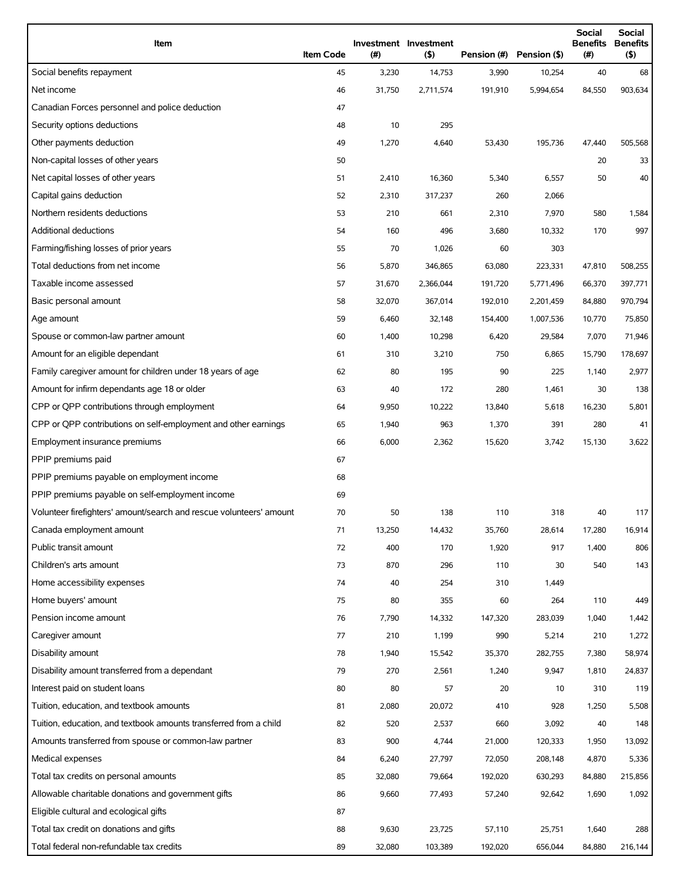| Item                                                                | <b>Item Code</b> | (#)    | Investment Investment<br>$($ \$) | Pension (#) | Pension (\$) | <b>Social</b><br><b>Benefits</b><br>(# ) | <b>Social</b><br>Benefits<br>(\$) |
|---------------------------------------------------------------------|------------------|--------|----------------------------------|-------------|--------------|------------------------------------------|-----------------------------------|
| Social benefits repayment                                           | 45               | 3,230  | 14,753                           | 3,990       | 10,254       | 40                                       | 68                                |
| Net income                                                          | 46               | 31,750 | 2,711,574                        | 191,910     | 5,994,654    | 84,550                                   | 903,634                           |
| Canadian Forces personnel and police deduction                      | 47               |        |                                  |             |              |                                          |                                   |
| Security options deductions                                         | 48               | 10     | 295                              |             |              |                                          |                                   |
| Other payments deduction                                            | 49               | 1,270  | 4,640                            | 53,430      | 195,736      | 47,440                                   | 505,568                           |
| Non-capital losses of other years                                   | 50               |        |                                  |             |              | 20                                       | 33                                |
| Net capital losses of other years                                   | 51               | 2,410  | 16,360                           | 5,340       | 6,557        | 50                                       | 40                                |
| Capital gains deduction                                             | 52               | 2,310  | 317,237                          | 260         | 2,066        |                                          |                                   |
| Northern residents deductions                                       | 53               | 210    | 661                              | 2,310       | 7,970        | 580                                      | 1,584                             |
| Additional deductions                                               | 54               | 160    | 496                              | 3,680       | 10,332       | 170                                      | 997                               |
| Farming/fishing losses of prior years                               | 55               | 70     | 1,026                            | 60          | 303          |                                          |                                   |
| Total deductions from net income                                    | 56               | 5,870  | 346,865                          | 63,080      | 223,331      | 47,810                                   | 508,255                           |
| Taxable income assessed                                             | 57               | 31,670 | 2,366,044                        | 191,720     | 5,771,496    | 66,370                                   | 397,771                           |
| Basic personal amount                                               | 58               | 32,070 | 367,014                          | 192,010     | 2,201,459    | 84,880                                   | 970,794                           |
| Age amount                                                          | 59               | 6,460  | 32,148                           | 154,400     | 1,007,536    | 10,770                                   | 75,850                            |
| Spouse or common-law partner amount                                 | 60               | 1,400  | 10,298                           | 6,420       | 29,584       | 7,070                                    | 71,946                            |
| Amount for an eligible dependant                                    | 61               | 310    | 3,210                            | 750         | 6,865        | 15,790                                   | 178,697                           |
| Family caregiver amount for children under 18 years of age          | 62               | 80     | 195                              | 90          | 225          | 1,140                                    | 2,977                             |
| Amount for infirm dependants age 18 or older                        | 63               | 40     | 172                              | 280         | 1,461        | 30                                       | 138                               |
| CPP or QPP contributions through employment                         | 64               | 9,950  | 10,222                           | 13,840      | 5,618        | 16,230                                   | 5,801                             |
| CPP or QPP contributions on self-employment and other earnings      | 65               | 1,940  | 963                              | 1,370       | 391          | 280                                      | 41                                |
| Employment insurance premiums                                       | 66               | 6,000  | 2,362                            | 15,620      | 3,742        | 15,130                                   | 3,622                             |
| PPIP premiums paid                                                  | 67               |        |                                  |             |              |                                          |                                   |
| PPIP premiums payable on employment income                          | 68               |        |                                  |             |              |                                          |                                   |
| PPIP premiums payable on self-employment income                     | 69               |        |                                  |             |              |                                          |                                   |
| Volunteer firefighters' amount/search and rescue volunteers' amount | 70               | 50     | 138                              | 110         | 318          | 40                                       | 117                               |
| Canada employment amount                                            | 71               | 13,250 | 14,432                           | 35,760      | 28,614       | 17,280                                   | 16,914                            |
| Public transit amount                                               | 72               | 400    | 170                              | 1,920       | 917          | 1,400                                    | 806                               |
| Children's arts amount                                              | 73               | 870    | 296                              | 110         | 30           | 540                                      | 143                               |
| Home accessibility expenses                                         | 74               | 40     | 254                              | 310         | 1,449        |                                          |                                   |
| Home buyers' amount                                                 | 75               | 80     | 355                              | 60          | 264          | 110                                      | 449                               |
| Pension income amount                                               | 76               | 7,790  | 14,332                           | 147,320     | 283,039      | 1,040                                    | 1,442                             |
| Caregiver amount                                                    | 77               | 210    | 1,199                            | 990         | 5,214        | 210                                      | 1,272                             |
| Disability amount                                                   | 78               | 1,940  | 15,542                           | 35,370      | 282,755      | 7,380                                    | 58,974                            |
| Disability amount transferred from a dependant                      | 79               | 270    | 2,561                            | 1,240       | 9,947        | 1,810                                    | 24,837                            |
| Interest paid on student loans                                      | 80               | 80     | 57                               | 20          | 10           | 310                                      | 119                               |
| Tuition, education, and textbook amounts                            | 81               | 2,080  | 20,072                           | 410         | 928          | 1,250                                    | 5,508                             |
| Tuition, education, and textbook amounts transferred from a child   | 82               | 520    | 2,537                            | 660         | 3,092        | 40                                       | 148                               |
| Amounts transferred from spouse or common-law partner               | 83               | 900    | 4,744                            | 21,000      | 120,333      | 1,950                                    | 13,092                            |
| Medical expenses                                                    | 84               | 6,240  | 27,797                           | 72,050      | 208,148      | 4,870                                    | 5,336                             |
| Total tax credits on personal amounts                               | 85               | 32,080 | 79,664                           | 192,020     | 630,293      | 84,880                                   | 215,856                           |
| Allowable charitable donations and government gifts                 | 86               | 9,660  | 77,493                           | 57,240      | 92,642       | 1,690                                    | 1,092                             |
| Eligible cultural and ecological gifts                              | 87               |        |                                  |             |              |                                          |                                   |
| Total tax credit on donations and gifts                             | 88               | 9,630  | 23,725                           | 57,110      | 25,751       | 1,640                                    | 288                               |
| Total federal non-refundable tax credits                            | 89               | 32,080 | 103,389                          | 192,020     | 656,044      | 84,880                                   | 216,144                           |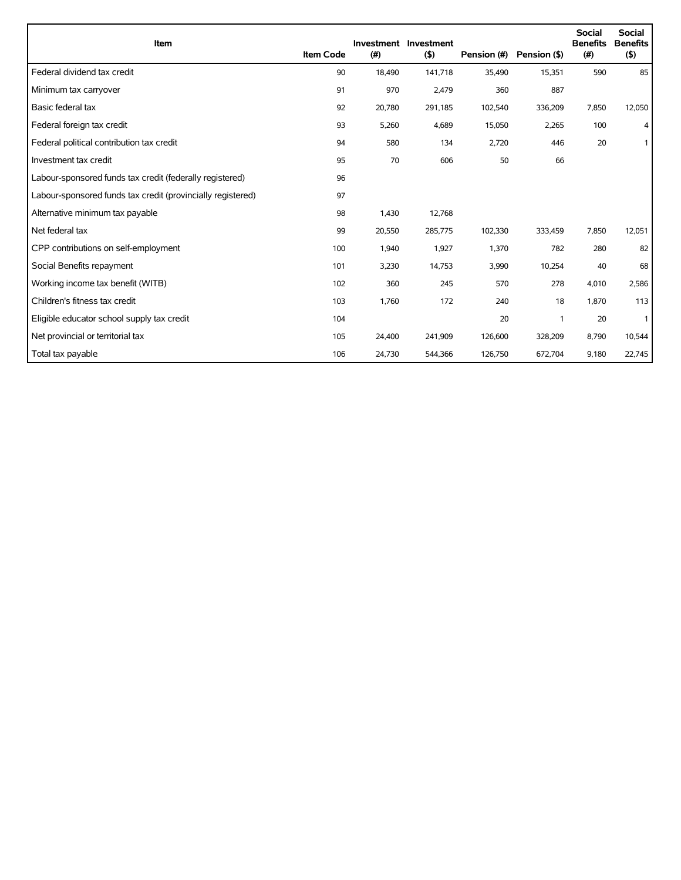| Item                                                        | <b>Item Code</b> | (#)    | Investment Investment<br>(5) | Pension (#) | Pension (\$) | <b>Social</b><br><b>Benefits</b><br>(#) | Social<br><b>Benefits</b><br>(5) |
|-------------------------------------------------------------|------------------|--------|------------------------------|-------------|--------------|-----------------------------------------|----------------------------------|
| Federal dividend tax credit                                 | 90               | 18,490 | 141,718                      | 35,490      | 15,351       | 590                                     | 85                               |
| Minimum tax carryover                                       | 91               | 970    | 2,479                        | 360         | 887          |                                         |                                  |
| Basic federal tax                                           | 92               | 20,780 | 291,185                      | 102,540     | 336,209      | 7,850                                   | 12,050                           |
| Federal foreign tax credit                                  | 93               | 5,260  | 4,689                        | 15,050      | 2,265        | 100                                     | 4                                |
| Federal political contribution tax credit                   | 94               | 580    | 134                          | 2,720       | 446          | 20                                      | 1                                |
| Investment tax credit                                       | 95               | 70     | 606                          | 50          | 66           |                                         |                                  |
| Labour-sponsored funds tax credit (federally registered)    | 96               |        |                              |             |              |                                         |                                  |
| Labour-sponsored funds tax credit (provincially registered) | 97               |        |                              |             |              |                                         |                                  |
| Alternative minimum tax payable                             | 98               | 1,430  | 12,768                       |             |              |                                         |                                  |
| Net federal tax                                             | 99               | 20,550 | 285,775                      | 102,330     | 333,459      | 7,850                                   | 12,051                           |
| CPP contributions on self-employment                        | 100              | 1,940  | 1,927                        | 1,370       | 782          | 280                                     | 82                               |
| Social Benefits repayment                                   | 101              | 3,230  | 14,753                       | 3,990       | 10,254       | 40                                      | 68                               |
| Working income tax benefit (WITB)                           | 102              | 360    | 245                          | 570         | 278          | 4,010                                   | 2,586                            |
| Children's fitness tax credit                               | 103              | 1,760  | 172                          | 240         | 18           | 1,870                                   | 113                              |
| Eligible educator school supply tax credit                  | 104              |        |                              | 20          | $\mathbf{1}$ | 20                                      | $\mathbf{1}$                     |
| Net provincial or territorial tax                           | 105              | 24,400 | 241,909                      | 126,600     | 328,209      | 8,790                                   | 10,544                           |
| Total tax payable                                           | 106              | 24,730 | 544,366                      | 126,750     | 672,704      | 9,180                                   | 22,745                           |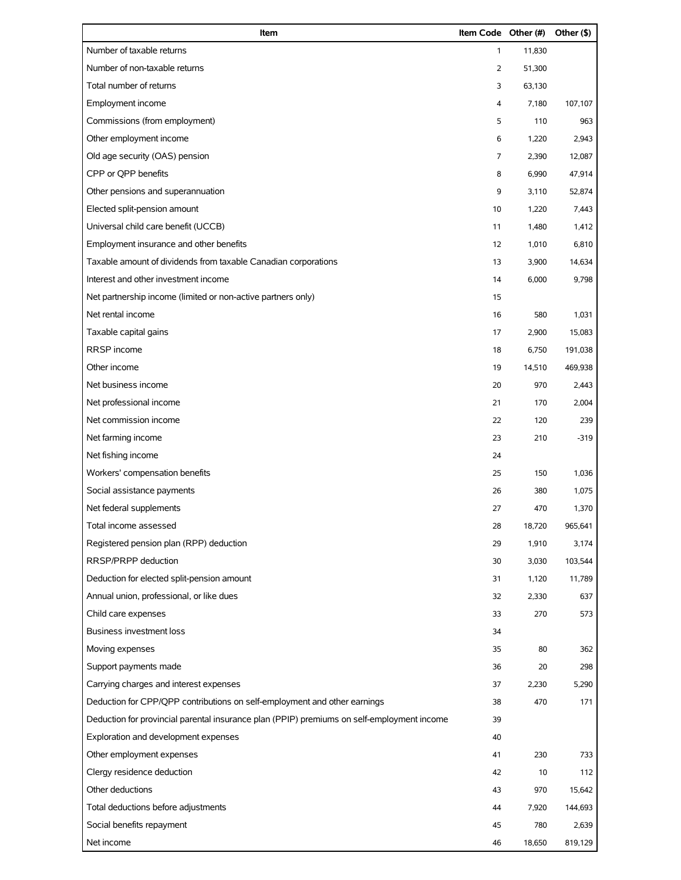| Item                                                                                       | Item Code Other (#) |        | Other (\$) |
|--------------------------------------------------------------------------------------------|---------------------|--------|------------|
| Number of taxable returns                                                                  | $\mathbf{1}$        | 11,830 |            |
| Number of non-taxable returns                                                              | 2                   | 51,300 |            |
| Total number of returns                                                                    | 3                   | 63,130 |            |
| Employment income                                                                          | 4                   | 7,180  | 107,107    |
| Commissions (from employment)                                                              | 5                   | 110    | 963        |
| Other employment income                                                                    | 6                   | 1,220  | 2,943      |
| Old age security (OAS) pension                                                             | 7                   | 2,390  | 12,087     |
| CPP or QPP benefits                                                                        | 8                   | 6,990  | 47,914     |
| Other pensions and superannuation                                                          | 9                   | 3,110  | 52,874     |
| Elected split-pension amount                                                               | 10                  | 1,220  | 7,443      |
| Universal child care benefit (UCCB)                                                        | 11                  | 1,480  | 1,412      |
| Employment insurance and other benefits                                                    | 12                  | 1,010  | 6,810      |
| Taxable amount of dividends from taxable Canadian corporations                             | 13                  | 3,900  | 14,634     |
| Interest and other investment income                                                       | 14                  | 6,000  | 9,798      |
| Net partnership income (limited or non-active partners only)                               | 15                  |        |            |
| Net rental income                                                                          | 16                  | 580    | 1,031      |
| Taxable capital gains                                                                      | 17                  | 2,900  | 15,083     |
| RRSP income                                                                                | 18                  | 6,750  | 191,038    |
| Other income                                                                               | 19                  | 14,510 | 469,938    |
| Net business income                                                                        | 20                  | 970    | 2,443      |
| Net professional income                                                                    | 21                  | 170    | 2,004      |
| Net commission income                                                                      | 22                  | 120    | 239        |
| Net farming income                                                                         | 23                  | 210    | $-319$     |
| Net fishing income                                                                         | 24                  |        |            |
| Workers' compensation benefits                                                             | 25                  | 150    | 1,036      |
| Social assistance payments                                                                 | 26                  | 380    | 1,075      |
| Net federal supplements                                                                    | 27                  | 470    | 1,370      |
| Total income assessed                                                                      | 28                  | 18,720 | 965,641    |
| Registered pension plan (RPP) deduction                                                    | 29                  | 1,910  | 3,174      |
| RRSP/PRPP deduction                                                                        | 30                  | 3,030  | 103,544    |
| Deduction for elected split-pension amount                                                 | 31                  | 1,120  | 11,789     |
| Annual union, professional, or like dues                                                   | 32                  | 2,330  | 637        |
| Child care expenses                                                                        | 33                  | 270    | 573        |
| <b>Business investment loss</b>                                                            | 34                  |        |            |
| Moving expenses                                                                            | 35                  | 80     | 362        |
| Support payments made                                                                      | 36                  | 20     | 298        |
| Carrying charges and interest expenses                                                     | 37                  | 2,230  | 5,290      |
| Deduction for CPP/QPP contributions on self-employment and other earnings                  | 38                  | 470    | 171        |
| Deduction for provincial parental insurance plan (PPIP) premiums on self-employment income | 39                  |        |            |
| Exploration and development expenses                                                       | 40                  |        |            |
| Other employment expenses                                                                  | 41                  | 230    | 733        |
| Clergy residence deduction                                                                 | 42                  | 10     | 112        |
| Other deductions                                                                           | 43                  | 970    | 15,642     |
| Total deductions before adjustments                                                        | 44                  | 7,920  | 144,693    |
| Social benefits repayment                                                                  | 45                  | 780    | 2,639      |
| Net income                                                                                 | 46                  | 18,650 | 819,129    |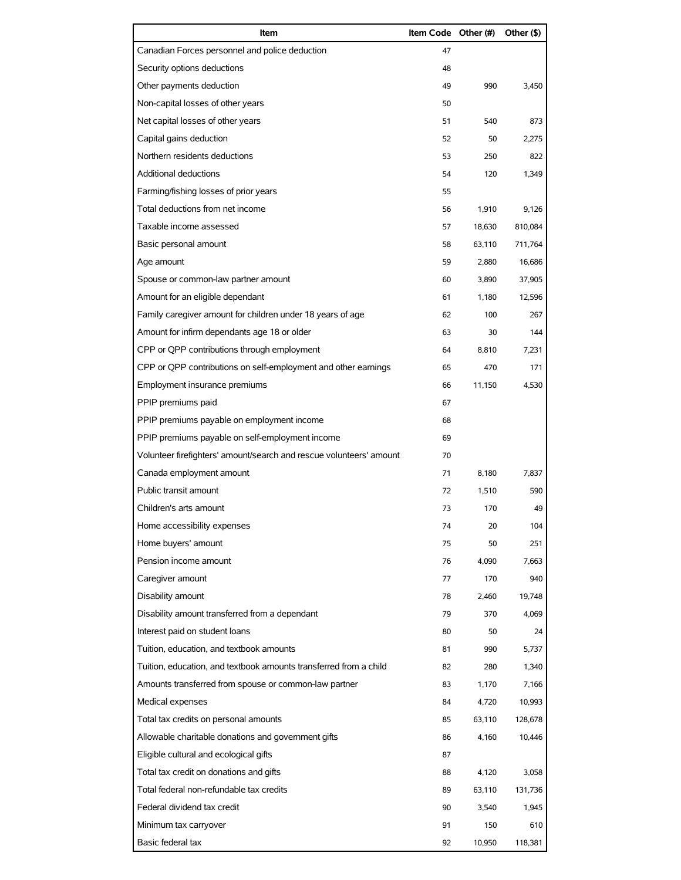| Item                                                                | Item Code Other (#) |        | Other (\$) |
|---------------------------------------------------------------------|---------------------|--------|------------|
| Canadian Forces personnel and police deduction                      | 47                  |        |            |
| Security options deductions                                         | 48                  |        |            |
| Other payments deduction                                            | 49                  | 990    | 3,450      |
| Non-capital losses of other years                                   | 50                  |        |            |
| Net capital losses of other years                                   | 51                  | 540    | 873        |
| Capital gains deduction                                             | 52                  | 50     | 2,275      |
| Northern residents deductions                                       | 53                  | 250    | 822        |
| Additional deductions                                               | 54                  | 120    | 1,349      |
| Farming/fishing losses of prior years                               | 55                  |        |            |
| Total deductions from net income                                    | 56                  | 1,910  | 9,126      |
| Taxable income assessed                                             | 57                  | 18,630 | 810,084    |
| Basic personal amount                                               | 58                  | 63,110 | 711,764    |
| Age amount                                                          | 59                  | 2,880  | 16,686     |
| Spouse or common-law partner amount                                 | 60                  | 3,890  | 37,905     |
| Amount for an eligible dependant                                    | 61                  | 1,180  | 12,596     |
| Family caregiver amount for children under 18 years of age          | 62                  | 100    | 267        |
| Amount for infirm dependants age 18 or older                        | 63                  | 30     | 144        |
| CPP or QPP contributions through employment                         | 64                  | 8,810  | 7,231      |
| CPP or QPP contributions on self-employment and other earnings      | 65                  | 470    | 171        |
| Employment insurance premiums                                       | 66                  | 11,150 | 4,530      |
| PPIP premiums paid                                                  | 67                  |        |            |
| PPIP premiums payable on employment income                          | 68                  |        |            |
| PPIP premiums payable on self-employment income                     | 69                  |        |            |
| Volunteer firefighters' amount/search and rescue volunteers' amount | 70                  |        |            |
| Canada employment amount                                            | 71                  | 8,180  | 7,837      |
| Public transit amount                                               | 72                  | 1,510  | 590        |
| Children's arts amount                                              | 73                  | 170    | 49         |
| Home accessibility expenses                                         | 74                  | 20     | 104        |
| Home buyers' amount                                                 | 75                  | 50     | 251        |
| Pension income amount                                               | 76                  | 4.090  | 7,663      |
| Caregiver amount                                                    | 77                  | 170    | 940        |
| Disability amount                                                   | 78                  | 2,460  | 19,748     |
| Disability amount transferred from a dependant                      | 79                  | 370    | 4,069      |
| Interest paid on student loans                                      | 80                  | 50     | 24         |
| Tuition, education, and textbook amounts                            | 81                  | 990    | 5,737      |
| Tuition, education, and textbook amounts transferred from a child   | 82                  | 280    | 1,340      |
| Amounts transferred from spouse or common-law partner               | 83                  | 1,170  | 7,166      |
| Medical expenses                                                    | 84                  | 4,720  | 10,993     |
| Total tax credits on personal amounts                               | 85                  | 63,110 | 128,678    |
| Allowable charitable donations and government gifts                 | 86                  | 4,160  | 10,446     |
| Eligible cultural and ecological gifts                              | 87                  |        |            |
| Total tax credit on donations and gifts                             | 88                  | 4,120  | 3,058      |
| Total federal non-refundable tax credits                            | 89                  | 63,110 | 131,736    |
| Federal dividend tax credit                                         | 90                  | 3,540  | 1,945      |
| Minimum tax carryover                                               | 91                  | 150    | 610        |
| Basic federal tax                                                   | 92                  | 10,950 | 118,381    |